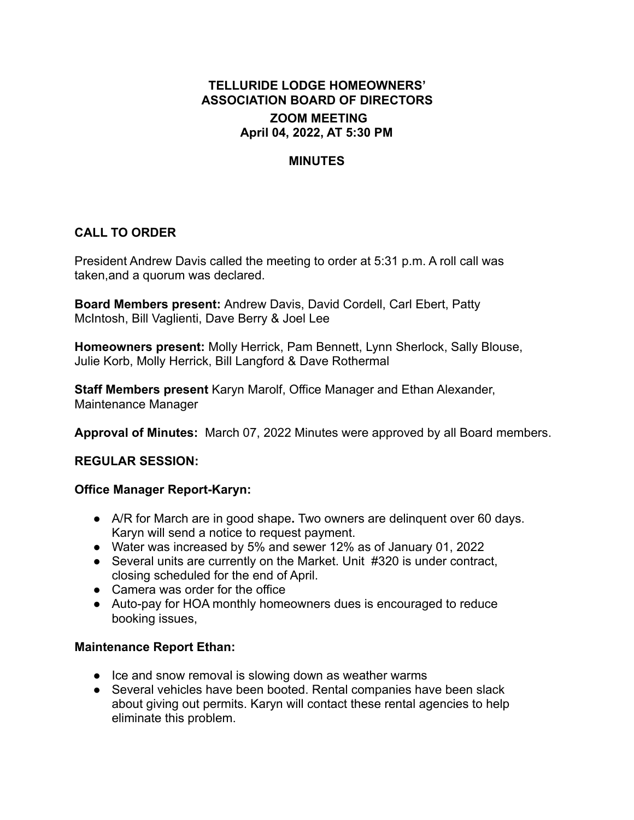# **TELLURIDE LODGE HOMEOWNERS' ASSOCIATION BOARD OF DIRECTORS ZOOM MEETING April 04, 2022, AT 5:30 PM**

### **MINUTES**

## **CALL TO ORDER**

President Andrew Davis called the meeting to order at 5:31 p.m. A roll call was taken,and a quorum was declared.

**Board Members present:** Andrew Davis, David Cordell, Carl Ebert, Patty McIntosh, Bill Vaglienti, Dave Berry & Joel Lee

**Homeowners present:** Molly Herrick, Pam Bennett, Lynn Sherlock, Sally Blouse, Julie Korb, Molly Herrick, Bill Langford & Dave Rothermal

**Staff Members present** Karyn Marolf, Office Manager and Ethan Alexander, Maintenance Manager

**Approval of Minutes:** March 07, 2022 Minutes were approved by all Board members.

#### **REGULAR SESSION:**

### **Office Manager Report-Karyn:**

- **●** A/R for March are in good shape**.** Two owners are delinquent over 60 days. Karyn will send a notice to request payment.
- Water was increased by 5% and sewer 12% as of January 01, 2022
- Several units are currently on the Market. Unit #320 is under contract, closing scheduled for the end of April.
- Camera was order for the office
- Auto-pay for HOA monthly homeowners dues is encouraged to reduce booking issues,

#### **Maintenance Report Ethan:**

- Ice and snow removal is slowing down as weather warms
- Several vehicles have been booted. Rental companies have been slack about giving out permits. Karyn will contact these rental agencies to help eliminate this problem.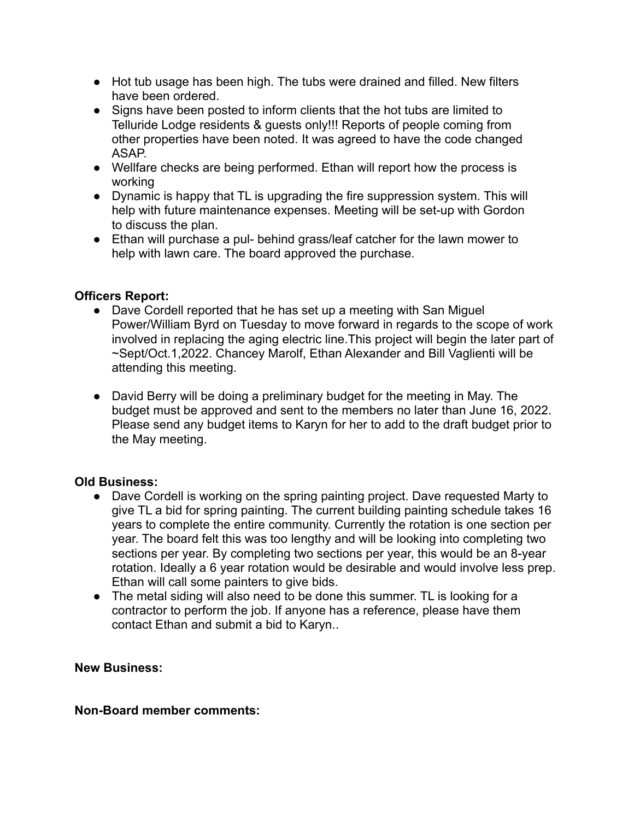- Hot tub usage has been high. The tubs were drained and filled. New filters have been ordered.
- Signs have been posted to inform clients that the hot tubs are limited to Telluride Lodge residents & guests only!!! Reports of people coming from other properties have been noted. It was agreed to have the code changed ASAP.
- Wellfare checks are being performed. Ethan will report how the process is working
- Dynamic is happy that TL is upgrading the fire suppression system. This will help with future maintenance expenses. Meeting will be set-up with Gordon to discuss the plan.
- Ethan will purchase a pul- behind grass/leaf catcher for the lawn mower to help with lawn care. The board approved the purchase.

## **Officers Report:**

- **●** Dave Cordell reported that he has set up a meeting with San Miguel Power/William Byrd on Tuesday to move forward in regards to the scope of work involved in replacing the aging electric line.This project will begin the later part of ~Sept/Oct.1,2022. Chancey Marolf, Ethan Alexander and Bill Vaglienti will be attending this meeting.
- **●** David Berry will be doing a preliminary budget for the meeting in May. The budget must be approved and sent to the members no later than June 16, 2022. Please send any budget items to Karyn for her to add to the draft budget prior to the May meeting.

## **Old Business:**

- **●** Dave Cordell is working on the spring painting project. Dave requested Marty to give TL a bid for spring painting. The current building painting schedule takes 16 years to complete the entire community. Currently the rotation is one section per year. The board felt this was too lengthy and will be looking into completing two sections per year. By completing two sections per year, this would be an 8-year rotation. Ideally a 6 year rotation would be desirable and would involve less prep. Ethan will call some painters to give bids.
- **●** The metal siding will also need to be done this summer. TL is looking for a contractor to perform the job. If anyone has a reference, please have them contact Ethan and submit a bid to Karyn..

### **New Business:**

### **Non-Board member comments:**